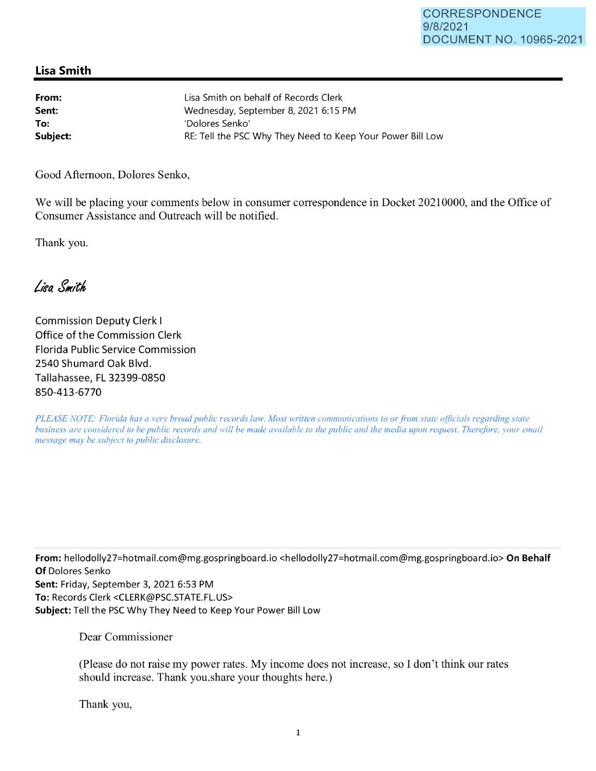## **Lisa Smith**

| From:    | Lisa Smith on behalf of Records Clerk                      |
|----------|------------------------------------------------------------|
| Sent:    | Wednesday, September 8, 2021 6:15 PM                       |
| To:      | 'Dolores Senko'                                            |
| Subject: | RE: Tell the PSC Why They Need to Keep Your Power Bill Low |

Good Afternoon, Dolores Senko,

We will be placing your comments below in consumer correspondence in Docket 20210000, and the Office of Consumer Assistance and Outreach will be notified.

Thank you.

Lisa Smith

Commission Deputy Clerk I Office of the Commission Clerk Florida Public Service Commission 2540 Shumard Oak Blvd. Tallahassee, FL 32399-0850 850-413-6770

*PLEASE NOTE: Florida has a very broad public records law. Most written communications to or from state officials regarding state business are considered to be public records and will be made available to the public and the media upon request. Therefore, your email message may be subject to public disclosure.* 

**From:** he11odolly27=hotmai1.com@mg.gospringboard.io <he11odolly27=hotmai1.com@mg.gospringboard.io> **On Behalf Of** Dolores Senko **Sent:** Friday, September 3, 2021 6:53 PM **To:** Records Clerk <CLERK@PSC.STATE.FL.US> **Subject:** Tell the PSC Why They Need to Keep Your Power Bill Low

Dear Commissioner

(Please do not raise my power rates. My income does not increase, so I don't think our rates should increase. Thank you.share your thoughts here.)

Thank you,